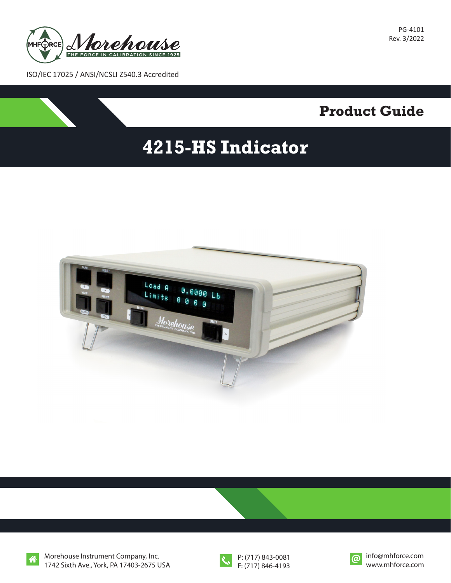

PG-4101 Rev. 3/2022

ISO/IEC 17025 / ANSI/NCSLI Z540.3 Accredited

## **Product Guide**

# **4215-HS Indicator**





Morehouse Instrument Company, Inc. 1742 Sixth Ave., York, PA 17403-2675 USA



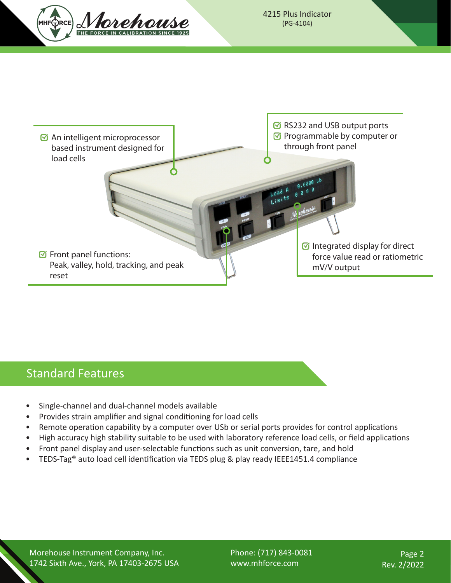



#### Standard Features

- Single-channel and dual-channel models available
- Provides strain amplifier and signal conditioning for load cells
- Remote operation capability by a computer over USb or serial ports provides for control applications
- High accuracy high stability suitable to be used with laboratory reference load cells, or field applications
- Front panel display and user-selectable functions such as unit conversion, tare, and hold
- TEDS-Tag® auto load cell identification via TEDS plug & play ready IEEE1451.4 compliance

Morehouse Instrument Company, Inc. 1742 Sixth Ave., York, PA 17403-2675 USA Phone: (717) 843-0081 www.mhforce.com

Page 2 Rev. 2/2022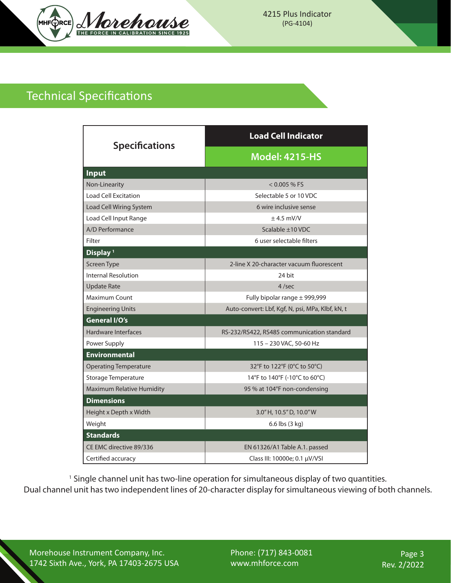

### Technical Specifications

| <b>Specifications</b>            | <b>Load Cell Indicator</b>                       |
|----------------------------------|--------------------------------------------------|
|                                  | <b>Model: 4215-HS</b>                            |
| <b>Input</b>                     |                                                  |
| Non-Linearity                    | $< 0.005 %$ FS                                   |
| <b>Load Cell Excitation</b>      | Selectable 5 or 10 VDC                           |
| Load Cell Wiring System          | 6 wire inclusive sense                           |
| Load Cell Input Range            | $± 4.5$ mV/V                                     |
| A/D Performance                  | Scalable ±10 VDC                                 |
| Filter                           | 6 user selectable filters                        |
| Display <sup>1</sup>             |                                                  |
| Screen Type                      | 2-line X 20-character vacuum fluorescent         |
| <b>Internal Resolution</b>       | 24 bit                                           |
| <b>Update Rate</b>               | 4/sec                                            |
| Maximum Count                    | Fully bipolar range ± 999,999                    |
| <b>Engineering Units</b>         | Auto-convert: Lbf, Kgf, N, psi, MPa, Klbf, kN, t |
| <b>General I/O's</b>             |                                                  |
| <b>Hardware Interfaces</b>       | RS-232/RS422, RS485 communication standard       |
| Power Supply                     | 115 - 230 VAC, 50-60 Hz                          |
| <b>Environmental</b>             |                                                  |
| <b>Operating Temperature</b>     | 32°F to 122°F (0°C to 50°C)                      |
| Storage Temperature              | 14°F to 140°F (-10°C to 60°C)                    |
| <b>Maximum Relative Humidity</b> | 95 % at 104°F non-condensing                     |
| <b>Dimensions</b>                |                                                  |
| Height x Depth x Width           | 3.0" H, 10.5" D, 10.0" W                         |
| Weight                           | 6.6 lbs (3 kg)                                   |
| <b>Standards</b>                 |                                                  |
| CE EMC directive 89/336          | EN 61326/A1 Table A.1. passed                    |
| Certified accuracy               | Class III: 10000e; 0.1 µV/VSI                    |

<sup>1</sup> Single channel unit has two-line operation for simultaneous display of two quantities. Dual channel unit has two independent lines of 20-character display for simultaneous viewing of both channels.

Morehouse Instrument Company, Inc. 1742 Sixth Ave., York, PA 17403-2675 USA Phone: (717) 843-0081 www.mhforce.com

Page 3 Rev. 2/2022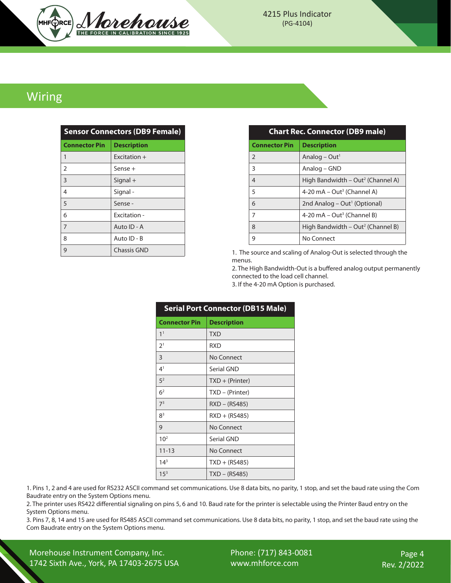

#### Wiring

| <b>Sensor Connectors (DB9 Female)</b> |                    |  |
|---------------------------------------|--------------------|--|
| <b>Connector Pin</b>                  | <b>Description</b> |  |
| $\mathbf{1}$                          | $Fx$ ritation $+$  |  |
| $\overline{2}$                        | Sense +            |  |
| 3                                     | $Signal +$         |  |
| 4                                     | Signal-            |  |
| 5                                     | Sense -            |  |
| 6                                     | <b>Fxcitation-</b> |  |
| 7                                     | Auto ID - A        |  |
| 8                                     | Auto ID - B        |  |
| 9                                     | Chassis GND        |  |

| <b>Chart Rec. Connector (DB9 male)</b> |                                               |  |
|----------------------------------------|-----------------------------------------------|--|
| <b>Connector Pin</b>                   | <b>Description</b>                            |  |
| $\overline{2}$                         | Analog – Out <sup>1</sup>                     |  |
| 3                                      | Analog – GND                                  |  |
| $\overline{4}$                         | High Bandwidth – Out <sup>2</sup> (Channel A) |  |
| 5                                      | 4-20 mA $-$ Out <sup>3</sup> (Channel A)      |  |
| 6                                      | 2nd Analog – Out <sup>1</sup> (Optional)      |  |
| 7                                      | 4-20 mA $-$ Out <sup>3</sup> (Channel B)      |  |
| 8                                      | High Bandwidth – Out <sup>2</sup> (Channel B) |  |
| 9                                      | No Connect                                    |  |

1. The source and scaling of Analog-Out is selected through the menus.

2. The High Bandwidth-Out is a buffered analog output permanently connected to the load cell channel.

3. If the 4-20 mA Option is purchased.

| <b>Serial Port Connector (DB15 Male)</b> |                    |  |
|------------------------------------------|--------------------|--|
| <b>Connector Pin</b>                     | <b>Description</b> |  |
| 1 <sup>1</sup>                           | <b>TXD</b>         |  |
| 2 <sup>1</sup>                           | <b>RXD</b>         |  |
| 3                                        | No Connect         |  |
| 4 <sup>1</sup>                           | Serial GND         |  |
| 5 <sup>2</sup>                           | $TXD + (Printer)$  |  |
| 6 <sup>2</sup>                           | TXD – (Printer)    |  |
| 7 <sup>3</sup>                           | $RXD - (RS485)$    |  |
| 8 <sup>3</sup>                           | $RXD + (RS485)$    |  |
| 9                                        | No Connect         |  |
| 10 <sup>2</sup>                          | Serial GND         |  |
| $11 - 13$                                | No Connect         |  |
| $14^{3}$                                 | $TXD + (RS485)$    |  |
| $15^{3}$                                 | TXD – (RS485)      |  |

1. Pins 1, 2 and 4 are used for RS232 ASCII command set communications. Use 8 data bits, no parity, 1 stop, and set the baud rate using the Com Baudrate entry on the System Options menu.

2. The printer uses RS422 differential signaling on pins 5, 6 and 10. Baud rate for the printer is selectable using the Printer Baud entry on the System Options menu.

3. Pins 7, 8, 14 and 15 are used for RS485 ASCII command set communications. Use 8 data bits, no parity, 1 stop, and set the baud rate using the Com Baudrate entry on the System Options menu.

Morehouse Instrument Company, Inc. 1742 Sixth Ave., York, PA 17403-2675 USA Phone: (717) 843-0081 www.mhforce.com